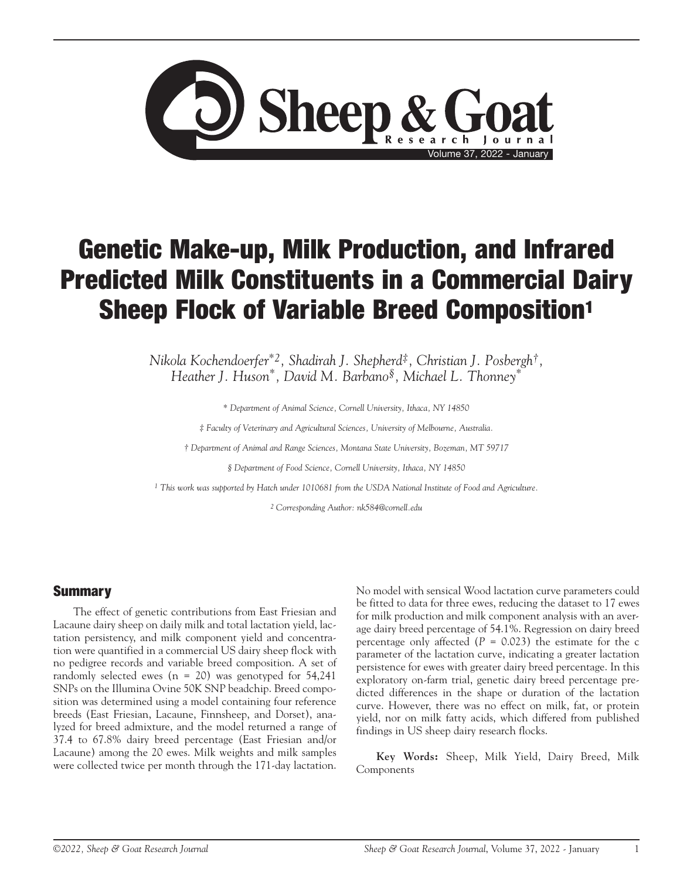

# Genetic Make-up, Milk Production, and Infrared Predicted Milk Constituents in a Commercial Dairy Sheep Flock of Variable Breed Composition<sup>1</sup>

*Nikola Kochendoerfer\*2, Shadirah J. Shepherd‡, Christian J. Posbergh†, Heather J. Huson\*, David M. Barbano§, Michael L. Thonney\**

*\* Department of Animal Science, Cornell University, Ithaca, NY 14850*

*‡ Faculty of Veterinary and Agricultural Sciences, University of Melbourne, Australia.*

*† Department of Animal and Range Sciences, Montana State University, Bozeman, MT 59717*

*§ Department of Food Science, Cornell University, Ithaca, NY 14850*

*1 This work was supported by Hatch under 1010681 from the USDA National Institute of Food and Agriculture.*

*2 Corresponding Author: nk584@cornell.edu*

#### **Summary**

The effect of genetic contributions from East Friesian and Lacaune dairy sheep on daily milk and total lactation yield, lactation persistency, and milk component yield and concentration were quantified in a commercial US dairy sheep flock with no pedigree records and variable breed composition. A set of randomly selected ewes  $(n = 20)$  was genotyped for 54,241 SNPs on the Illumina Ovine 50K SNP beadchip. Breed composition was determined using a model containing four reference breeds (East Friesian, Lacaune, Finnsheep, and Dorset), analyzed for breed admixture, and the model returned a range of 37.4 to 67.8% dairy breed percentage (East Friesian and/or Lacaune) among the 20 ewes. Milk weights and milk samples were collected twice per month through the 171-day lactation. No model with sensical Wood lactation curve parameters could be fitted to data for three ewes, reducing the dataset to 17 ewes for milk production and milk component analysis with an average dairy breed percentage of 54.1%. Regression on dairy breed percentage only affected (*P* = 0.023) the estimate for the c parameter of the lactation curve, indicating a greater lactation persistence for ewes with greater dairy breed percentage. In this exploratory on-farm trial, genetic dairy breed percentage predicted differences in the shape or duration of the lactation curve. However, there was no effect on milk, fat, or protein yield, nor on milk fatty acids, which differed from published findings in US sheep dairy research flocks.

**Key Words:** Sheep, Milk Yield, Dairy Breed, Milk Components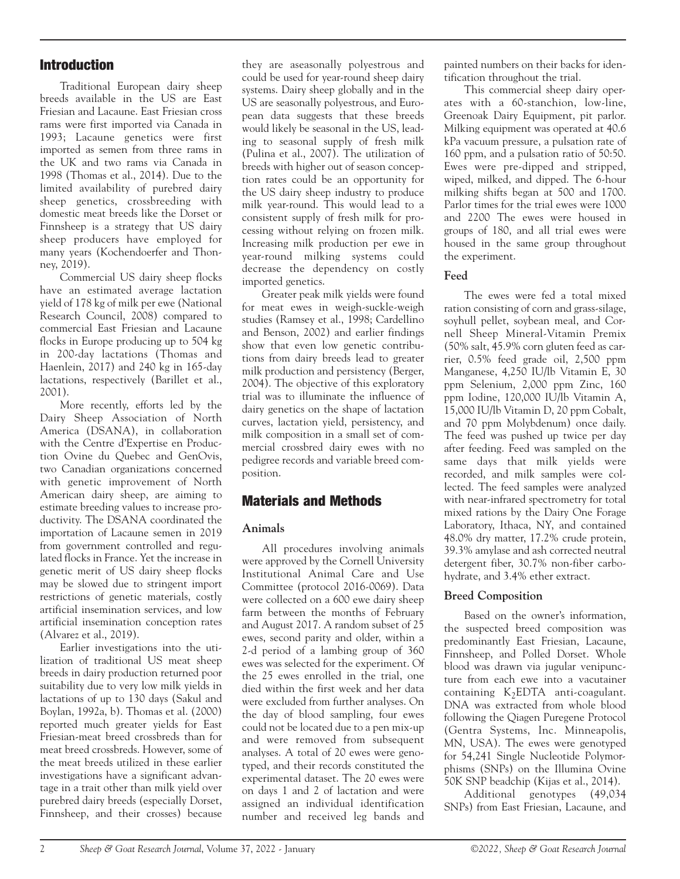# Introduction

Traditional European dairy sheep breeds available in the US are East Friesian and Lacaune. East Friesian cross rams were first imported via Canada in 1993; Lacaune genetics were first imported as semen from three rams in the UK and two rams via Canada in 1998 (Thomas et al., 2014). Due to the limited availability of purebred dairy sheep genetics, crossbreeding with domestic meat breeds like the Dorset or Finnsheep is a strategy that US dairy sheep producers have employed for many years (Kochendoerfer and Thonney, 2019).

Commercial US dairy sheep flocks have an estimated average lactation yield of 178 kg of milk per ewe (National Research Council, 2008) compared to commercial East Friesian and Lacaune flocks in Europe producing up to 504 kg in 200-day lactations (Thomas and Haenlein, 2017) and 240 kg in 165-day lactations, respectively (Barillet et al., 2001).

More recently, efforts led by the Dairy Sheep Association of North America (DSANA), in collaboration with the Centre d'Expertise en Production Ovine du Quebec and GenOvis, two Canadian organizations concerned with genetic improvement of North American dairy sheep, are aiming to estimate breeding values to increase productivity. The DSANA coordinated the importation of Lacaune semen in 2019 from government controlled and regulated flocks in France. Yet the increase in genetic merit of US dairy sheep flocks may be slowed due to stringent import restrictions of genetic materials, costly artificial insemination services, and low artificial insemination conception rates (Alvarez et al., 2019).

Earlier investigations into the utilization of traditional US meat sheep breeds in dairy production returned poor suitability due to very low milk yields in lactations of up to 130 days (Sakul and Boylan, 1992a, b). Thomas et al. (2000) reported much greater yields for East Friesian-meat breed crossbreds than for meat breed crossbreds. However, some of the meat breeds utilized in these earlier investigations have a significant advantage in a trait other than milk yield over purebred dairy breeds (especially Dorset, Finnsheep, and their crosses) because

they are aseasonally polyestrous and could be used for year-round sheep dairy systems. Dairy sheep globally and in the US are seasonally polyestrous, and European data suggests that these breeds would likely be seasonal in the US, leading to seasonal supply of fresh milk (Pulina et al., 2007). The utilization of breeds with higher out of season conception rates could be an opportunity for the US dairy sheep industry to produce milk year-round. This would lead to a consistent supply of fresh milk for processing without relying on frozen milk. Increasing milk production per ewe in year-round milking systems could decrease the dependency on costly imported genetics.

Greater peak milk yields were found for meat ewes in weigh-suckle-weigh studies (Ramsey et al., 1998; Cardellino and Benson, 2002) and earlier findings show that even low genetic contributions from dairy breeds lead to greater milk production and persistency (Berger, 2004). The objective of this exploratory trial was to illuminate the influence of dairy genetics on the shape of lactation curves, lactation yield, persistency, and milk composition in a small set of commercial crossbred dairy ewes with no pedigree records and variable breed composition.

# Materials and Methods

## **Animals**

All procedures involving animals were approved by the Cornell University Institutional Animal Care and Use Committee (protocol 2016-0069). Data were collected on a 600 ewe dairy sheep farm between the months of February and August 2017. A random subset of 25 ewes, second parity and older, within a 2-d period of a lambing group of 360 ewes was selected for the experiment. Of the 25 ewes enrolled in the trial, one died within the first week and her data were excluded from further analyses. On the day of blood sampling, four ewes could not be located due to a pen mix-up and were removed from subsequent analyses. A total of 20 ewes were genotyped, and their records constituted the experimental dataset. The 20 ewes were on days 1 and 2 of lactation and were assigned an individual identification number and received leg bands and

painted numbers on their backs for identification throughout the trial.

This commercial sheep dairy operates with a 60-stanchion, low-line, Greenoak Dairy Equipment, pit parlor. Milking equipment was operated at 40.6 kPa vacuum pressure, a pulsation rate of 160 ppm, and a pulsation ratio of 50:50. Ewes were pre-dipped and stripped, wiped, milked, and dipped. The 6-hour milking shifts began at 500 and 1700. Parlor times for the trial ewes were 1000 and 2200 The ewes were housed in groups of 180, and all trial ewes were housed in the same group throughout the experiment.

## **Feed**

The ewes were fed a total mixed ration consisting of corn and grass-silage, soyhull pellet, soybean meal, and Cornell Sheep Mineral-Vitamin Premix (50% salt, 45.9% corn gluten feed as carrier, 0.5% feed grade oil, 2,500 ppm Manganese, 4,250 IU/lb Vitamin E, 30 ppm Selenium, 2,000 ppm Zinc, 160 ppm Iodine, 120,000 IU/lb Vitamin A, 15,000 IU/lb Vitamin D, 20 ppm Cobalt, and 70 ppm Molybdenum) once daily. The feed was pushed up twice per day after feeding. Feed was sampled on the same days that milk yields were recorded, and milk samples were collected. The feed samples were analyzed with near-infrared spectrometry for total mixed rations by the Dairy One Forage Laboratory, Ithaca, NY, and contained 48.0% dry matter, 17.2% crude protein, 39.3% amylase and ash corrected neutral detergent fiber, 30.7% non-fiber carbohydrate, and 3.4% ether extract.

# **Breed Composition**

Based on the owner's information, the suspected breed composition was predominantly East Friesian, Lacaune, Finnsheep, and Polled Dorset. Whole blood was drawn via jugular venipuncture from each ewe into a vacutainer containing  $K_2EDTA$  anti-coagulant. DNA was extracted from whole blood following the Qiagen Puregene Protocol (Gentra Systems, Inc. Minneapolis, MN, USA). The ewes were genotyped for 54,241 Single Nucleotide Polymorphisms (SNPs) on the Illumina Ovine 50K SNP beadchip (Kijas et al., 2014).

Additional genotypes (49,034 SNPs) from East Friesian, Lacaune, and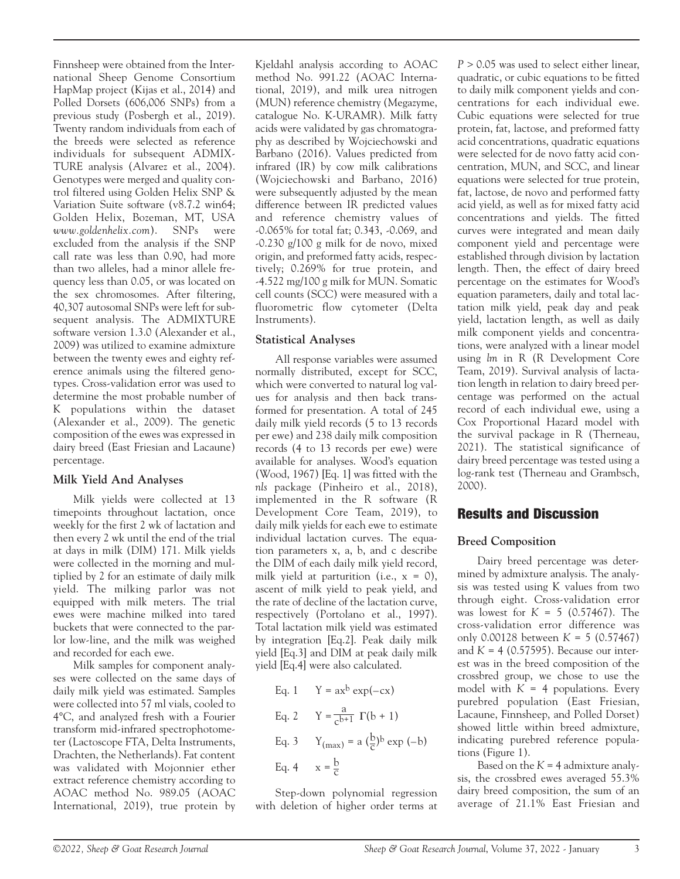Finnsheep were obtained from the International Sheep Genome Consortium HapMap project (Kijas et al., 2014) and Polled Dorsets (606,006 SNPs) from a previous study (Posbergh et al., 2019). Twenty random individuals from each of the breeds were selected as reference individuals for subsequent ADMIX-TURE analysis (Alvarez et al., 2004). Genotypes were merged and quality control filtered using Golden Helix SNP & Variation Suite software (v8.7.2 win64; Golden Helix, Bozeman, MT, USA *www.goldenhelix.com*). SNPs were excluded from the analysis if the SNP call rate was less than 0.90, had more than two alleles, had a minor allele frequency less than 0.05, or was located on the sex chromosomes. After filtering, 40,307 autosomal SNPs were left for subsequent analysis. The ADMIXTURE software version 1.3.0 (Alexander et al., 2009) was utilized to examine admixture between the twenty ewes and eighty reference animals using the filtered genotypes. Cross-validation error was used to determine the most probable number of K populations within the dataset (Alexander et al., 2009). The genetic composition of the ewes was expressed in dairy breed (East Friesian and Lacaune) percentage.

#### **Milk Yield And Analyses**

Milk yields were collected at 13 timepoints throughout lactation, once weekly for the first 2 wk of lactation and then every 2 wk until the end of the trial at days in milk (DIM) 171. Milk yields were collected in the morning and multiplied by 2 for an estimate of daily milk yield. The milking parlor was not equipped with milk meters. The trial ewes were machine milked into tared buckets that were connected to the parlor low-line, and the milk was weighed and recorded for each ewe.

Milk samples for component analyses were collected on the same days of daily milk yield was estimated. Samples were collected into 57 ml vials, cooled to 4°C, and analyzed fresh with a Fourier transform mid-infrared spectrophotometer (Lactoscope FTA, Delta Instruments, Drachten, the Netherlands). Fat content was validated with Mojonnier ether extract reference chemistry according to AOAC method No. 989.05 (AOAC International, 2019), true protein by

Kjeldahl analysis according to AOAC method No. 991.22 (AOAC International, 2019), and milk urea nitrogen (MUN) reference chemistry (Megazyme, catalogue No. K-URAMR). Milk fatty acids were validated by gas chromatography as described by Wojciechowski and Barbano (2016). Values predicted from infrared (IR) by cow milk calibrations (Wojciechowski and Barbano, 2016) were subsequently adjusted by the mean difference between IR predicted values and reference chemistry values of -0.065% for total fat; 0.343, -0.069, and -0.230 g/100 g milk for de novo, mixed origin, and preformed fatty acids, respectively; 0.269% for true protein, and -4.522 mg/100 g milk for MUN. Somatic cell counts (SCC) were measured with a fluorometric flow cytometer (Delta Instruments).

#### **Statistical Analyses**

All response variables were assumed normally distributed, except for SCC, which were converted to natural log values for analysis and then back transformed for presentation. A total of 245 daily milk yield records (5 to 13 records per ewe) and 238 daily milk composition records (4 to 13 records per ewe) were available for analyses. Wood's equation (Wood, 1967) [Eq. 1] was fitted with the *nls* package (Pinheiro et al., 2018), implemented in the R software (R Development Core Team, 2019), to daily milk yields for each ewe to estimate individual lactation curves. The equation parameters x, a, b, and c describe the DIM of each daily milk yield record, milk yield at parturition (i.e.,  $x = 0$ ), ascent of milk yield to peak yield, and the rate of decline of the lactation curve, respectively (Portolano et al., 1997). Total lactation milk yield was estimated by integration [Eq.2]. Peak daily milk yield [Eq.3] and DIM at peak daily milk yield [Eq.4] were also calculated.

Eq. 1 
$$
Y = ax^b exp(-cx)
$$
  
\nEq. 2  $Y = \frac{a}{c^{b+1}} \Gamma(b + 1)$   
\nEq. 3  $Y_{(max)} = a(\frac{b}{c})^b exp(-b)$   
\nEq. 4  $x = \frac{b}{c}$ 

Step-down polynomial regression with deletion of higher order terms at

*P* > 0.05 was used to select either linear, quadratic, or cubic equations to be fitted to daily milk component yields and concentrations for each individual ewe. Cubic equations were selected for true protein, fat, lactose, and preformed fatty acid concentrations, quadratic equations were selected for de novo fatty acid concentration, MUN, and SCC, and linear equations were selected for true protein, fat, lactose, de novo and performed fatty acid yield, as well as for mixed fatty acid concentrations and yields. The fitted curves were integrated and mean daily component yield and percentage were established through division by lactation length. Then, the effect of dairy breed percentage on the estimates for Wood's equation parameters, daily and total lactation milk yield, peak day and peak yield, lactation length, as well as daily milk component yields and concentrations, were analyzed with a linear model using *lm* in R (R Development Core Team, 2019). Survival analysis of lactation length in relation to dairy breed percentage was performed on the actual record of each individual ewe, using a Cox Proportional Hazard model with the survival package in R (Therneau, 2021). The statistical significance of dairy breed percentage was tested using a log-rank test (Therneau and Grambsch, 2000).

## Results and Discussion

#### **Breed Composition**

Dairy breed percentage was determined by admixture analysis. The analysis was tested using K values from two through eight. Cross-validation error was lowest for  $K = 5$  (0.57467). The cross-validation error difference was only 0.00128 between *K* = 5 (0.57467) and  $K = 4$  (0.57595). Because our interest was in the breed composition of the crossbred group, we chose to use the model with  $K = 4$  populations. Every purebred population (East Friesian, Lacaune, Finnsheep, and Polled Dorset) showed little within breed admixture, indicating purebred reference populations (Figure 1).

Based on the  $K = 4$  admixture analysis, the crossbred ewes averaged 55.3% dairy breed composition, the sum of an average of 21.1% East Friesian and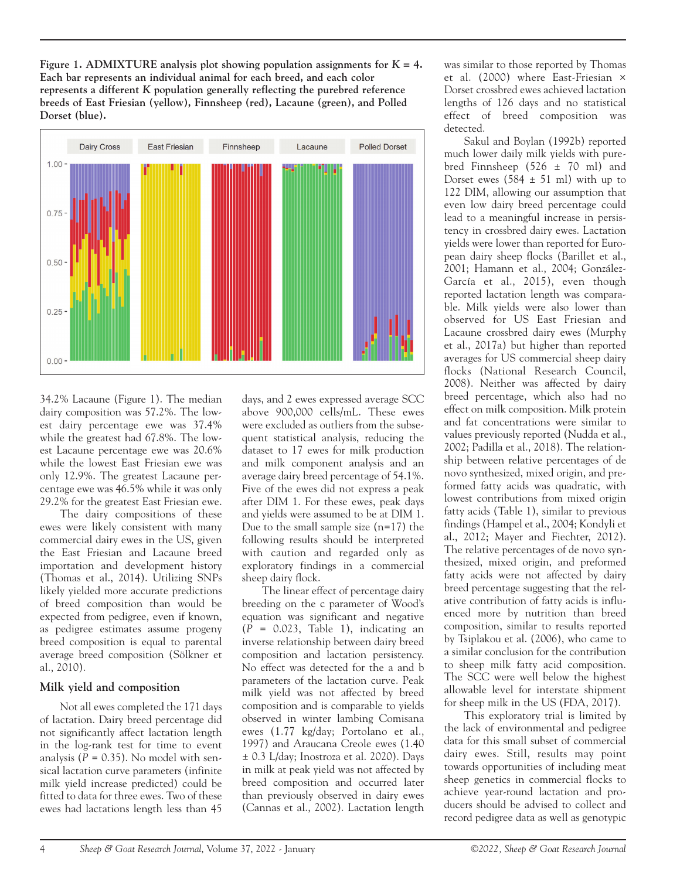**Figure 1. ADMIXTURE analysis plot showing population assignments for** *K* **= 4. Each bar represents an individual animal for each breed, and each color represents a different** *K* **population generally reflecting the purebred reference breeds of East Friesian (yellow), Finnsheep (red), Lacaune (green), and Polled Dorset (blue).**



34.2% Lacaune (Figure 1). The median dairy composition was 57.2%. The lowest dairy percentage ewe was 37.4% while the greatest had 67.8%. The lowest Lacaune percentage ewe was 20.6% while the lowest East Friesian ewe was only 12.9%. The greatest Lacaune percentage ewe was 46.5% while it was only 29.2% for the greatest East Friesian ewe.

The dairy compositions of these ewes were likely consistent with many commercial dairy ewes in the US, given the East Friesian and Lacaune breed importation and development history (Thomas et al., 2014). Utilizing SNPs likely yielded more accurate predictions of breed composition than would be expected from pedigree, even if known, as pedigree estimates assume progeny breed composition is equal to parental average breed composition (Sölkner et al., 2010).

#### **Milk yield and composition**

Not all ewes completed the 171 days of lactation. Dairy breed percentage did not significantly affect lactation length in the log-rank test for time to event analysis  $(P = 0.35)$ . No model with sensical lactation curve parameters (infinite milk yield increase predicted) could be fitted to data for three ewes. Two of these ewes had lactations length less than 45 days, and 2 ewes expressed average SCC above 900,000 cells/mL. These ewes were excluded as outliers from the subsequent statistical analysis, reducing the dataset to 17 ewes for milk production and milk component analysis and an average dairy breed percentage of 54.1%. Five of the ewes did not express a peak after DIM 1. For these ewes, peak days and yields were assumed to be at DIM 1. Due to the small sample size  $(n=17)$  the following results should be interpreted with caution and regarded only as exploratory findings in a commercial sheep dairy flock.

The linear effect of percentage dairy breeding on the c parameter of Wood's equation was significant and negative (*P* = 0.023, Table 1), indicating an inverse relationship between dairy breed composition and lactation persistency. No effect was detected for the a and b parameters of the lactation curve. Peak milk yield was not affected by breed composition and is comparable to yields observed in winter lambing Comisana ewes (1.77 kg/day; Portolano et al., 1997) and Araucana Creole ewes (1.40 ± 0.3 L/day; Inostroza et al. 2020). Days in milk at peak yield was not affected by breed composition and occurred later than previously observed in dairy ewes (Cannas et al., 2002). Lactation length was similar to those reported by Thomas et al. (2000) where East-Friesian × Dorset crossbred ewes achieved lactation lengths of 126 days and no statistical effect of breed composition was detected.

Sakul and Boylan (1992b) reported much lower daily milk yields with purebred Finnsheep (526 ± 70 ml) and Dorset ewes  $(584 \pm 51 \text{ ml})$  with up to 122 DIM, allowing our assumption that even low dairy breed percentage could lead to a meaningful increase in persistency in crossbred dairy ewes. Lactation yields were lower than reported for European dairy sheep flocks (Barillet et al., 2001; Hamann et al., 2004; González-García et al., 2015), even though reported lactation length was comparable. Milk yields were also lower than observed for US East Friesian and Lacaune crossbred dairy ewes (Murphy et al., 2017a) but higher than reported averages for US commercial sheep dairy flocks (National Research Council, 2008). Neither was affected by dairy breed percentage, which also had no effect on milk composition. Milk protein and fat concentrations were similar to values previously reported (Nudda et al., 2002; Padilla et al., 2018). The relationship between relative percentages of de novo synthesized, mixed origin, and preformed fatty acids was quadratic, with lowest contributions from mixed origin fatty acids (Table 1), similar to previous findings (Hampel et al., 2004; Kondyli et al., 2012; Mayer and Fiechter, 2012). The relative percentages of de novo synthesized, mixed origin, and preformed fatty acids were not affected by dairy breed percentage suggesting that the relative contribution of fatty acids is influenced more by nutrition than breed composition, similar to results reported by Tsiplakou et al. (2006), who came to a similar conclusion for the contribution to sheep milk fatty acid composition. The SCC were well below the highest allowable level for interstate shipment for sheep milk in the US (FDA, 2017).

This exploratory trial is limited by the lack of environmental and pedigree data for this small subset of commercial dairy ewes. Still, results may point towards opportunities of including meat sheep genetics in commercial flocks to achieve year-round lactation and producers should be advised to collect and record pedigree data as well as genotypic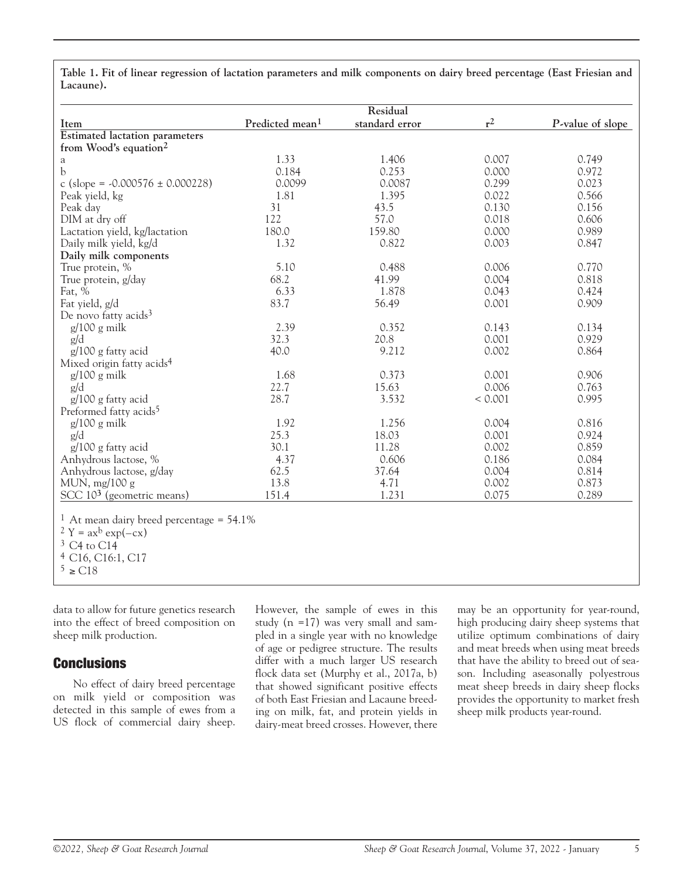**Table 1. Fit of linear regression of lactation parameters and milk components on dairy breed percentage (East Friesian and Lacaune).**

|                                                        | Residual                    |                |         |                  |
|--------------------------------------------------------|-----------------------------|----------------|---------|------------------|
| Item                                                   | Predicted mean <sup>1</sup> | standard error | $r^2$   | P-value of slope |
| <b>Estimated lactation parameters</b>                  |                             |                |         |                  |
| from Wood's equation <sup>2</sup>                      |                             |                |         |                  |
| a                                                      | 1.33                        | 1.406          | 0.007   | 0.749            |
| b                                                      | 0.184                       | 0.253          | 0.000   | 0.972            |
| c (slope = $-0.000576 \pm 0.000228$ )                  | 0.0099                      | 0.0087         | 0.299   | 0.023            |
| Peak yield, kg                                         | 1.81                        | 1.395          | 0.022   | 0.566            |
| Peak day                                               | 31                          | 43.5           | 0.130   | 0.156            |
| DIM at dry off                                         | 122                         | 57.0           | 0.018   | 0.606            |
| Lactation yield, kg/lactation                          | 180.0                       | 159.80         | 0.000   | 0.989            |
| Daily milk yield, kg/d                                 | 1.32                        | 0.822          | 0.003   | 0.847            |
| Daily milk components                                  |                             |                |         |                  |
| True protein, %                                        | 5.10                        | 0.488          | 0.006   | 0.770            |
| True protein, g/day                                    | 68.2                        | 41.99          | 0.004   | 0.818            |
| Fat, %                                                 | 6.33                        | 1.878          | 0.043   | 0.424            |
| Fat yield, g/d                                         | 83.7                        | 56.49          | 0.001   | 0.909            |
| De novo fatty acids <sup>3</sup>                       |                             |                |         |                  |
| $g/100 g$ milk                                         | 2.39                        | 0.352          | 0.143   | 0.134            |
| g/d                                                    | 32.3                        | 20.8           | 0.001   | 0.929            |
| g/100 g fatty acid                                     | 40.0                        | 9.212          | 0.002   | 0.864            |
| Mixed origin fatty acids <sup>4</sup>                  |                             |                |         |                  |
| $g/100 g$ milk                                         | 1.68                        | 0.373          | 0.001   | 0.906            |
| g/d                                                    | 22.7                        | 15.63          | 0.006   | 0.763            |
| g/100 g fatty acid                                     | 28.7                        | 3.532          | < 0.001 | 0.995            |
| Preformed fatty acids <sup>5</sup>                     |                             |                |         |                  |
| $g/100 g$ milk                                         | 1.92                        | 1.256          | 0.004   | 0.816            |
| g/d                                                    | 25.3                        | 18.03          | 0.001   | 0.924            |
| $g/100 g$ fatty acid                                   | 30.1                        | 11.28          | 0.002   | 0.859            |
| Anhydrous lactose, %                                   | 4.37                        | 0.606          | 0.186   | 0.084            |
| Anhydrous lactose, g/day                               | 62.5                        | 37.64          | 0.004   | 0.814            |
| MUN, $mg/100 g$                                        | 13.8                        | 4.71           | 0.002   | 0.873            |
| SCC $103$ (geometric means)                            | 151.4                       | 1.231          | 0.075   | 0.289            |
|                                                        |                             |                |         |                  |
| <sup>1</sup> At mean dairy breed percentage = $54.1\%$ |                             |                |         |                  |
| $2 Y = ax^b exp(-cx)$                                  |                             |                |         |                  |
|                                                        |                             |                |         |                  |

 $3 \text{ C4}$  to  $\text{C14}$ 

4 C16, C16:1, C17

 $5 \geq C18$ 

data to allow for future genetics research into the effect of breed composition on sheep milk production.

# **Conclusions**

No effect of dairy breed percentage on milk yield or composition was detected in this sample of ewes from a US flock of commercial dairy sheep.

However, the sample of ewes in this study (n =17) was very small and sampled in a single year with no knowledge of age or pedigree structure. The results differ with a much larger US research flock data set (Murphy et al., 2017a, b) that showed significant positive effects of both East Friesian and Lacaune breeding on milk, fat, and protein yields in dairy-meat breed crosses. However, there

may be an opportunity for year-round, high producing dairy sheep systems that utilize optimum combinations of dairy and meat breeds when using meat breeds that have the ability to breed out of season. Including aseasonally polyestrous meat sheep breeds in dairy sheep flocks provides the opportunity to market fresh sheep milk products year-round.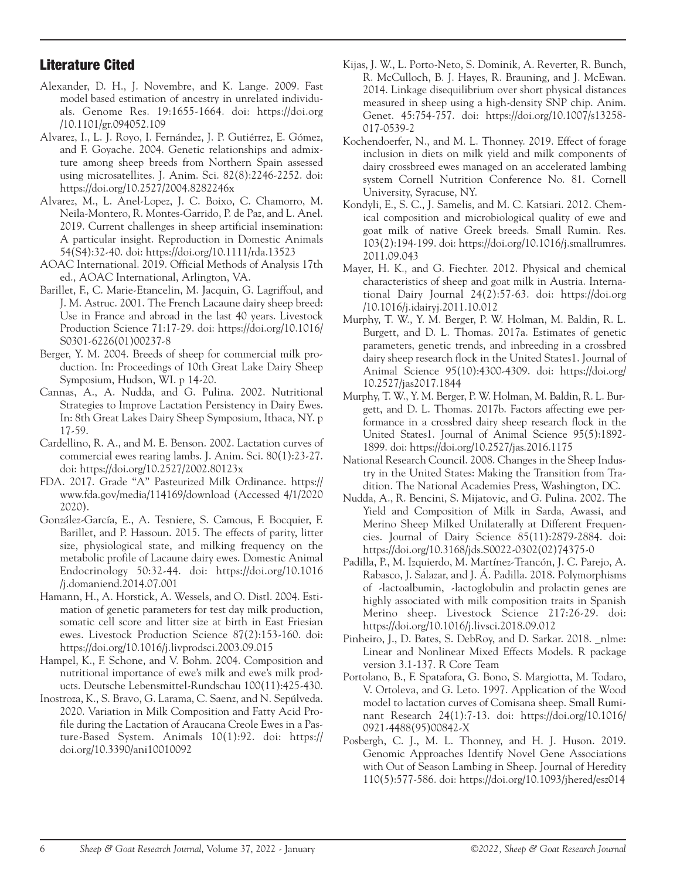# Literature Cited

- Alexander, D. H., J. Novembre, and K. Lange. 2009. Fast model based estimation of ancestry in unrelated individuals. Genome Res. 19:1655-1664. doi: https://doi.org /10.1101/gr.094052.109
- Alvarez, I., L. J. Royo, I. Fernández, J. P. Gutiérrez, E. Gómez, and F. Goyache. 2004. Genetic relationships and admixture among sheep breeds from Northern Spain assessed using microsatellites. J. Anim. Sci. 82(8):2246-2252. doi: https://doi.org/10.2527/2004.8282246x
- Alvarez, M., L. Anel-Lopez, J. C. Boixo, C. Chamorro, M. Neila-Montero, R. Montes-Garrido, P. de Paz, and L. Anel. 2019. Current challenges in sheep artificial insemination: A particular insight. Reproduction in Domestic Animals 54(S4):32-40. doi: https://doi.org/10.1111/rda.13523
- AOAC International. 2019. Official Methods of Analysis 17th ed., AOAC International, Arlington, VA.
- Barillet, F., C. Marie-Etancelin, M. Jacquin, G. Lagriffoul, and J. M. Astruc. 2001. The French Lacaune dairy sheep breed: Use in France and abroad in the last 40 years. Livestock Production Science 71:17-29. doi: https://doi.org/10.1016/ S0301-6226(01)00237-8
- Berger, Y. M. 2004. Breeds of sheep for commercial milk production. In: Proceedings of 10th Great Lake Dairy Sheep Symposium, Hudson, WI. p 14-20.
- Cannas, A., A. Nudda, and G. Pulina. 2002. Nutritional Strategies to Improve Lactation Persistency in Dairy Ewes. In: 8th Great Lakes Dairy Sheep Symposium, Ithaca, NY. p 17-59.
- Cardellino, R. A., and M. E. Benson. 2002. Lactation curves of commercial ewes rearing lambs. J. Anim. Sci. 80(1):23-27. doi: https://doi.org/10.2527/2002.80123x
- FDA. 2017. Grade "A" Pasteurized Milk Ordinance. https:// www.fda.gov/media/114169/download (Accessed 4/1/2020 2020).
- González-García, E., A. Tesniere, S. Camous, F. Bocquier, F. Barillet, and P. Hassoun. 2015. The effects of parity, litter size, physiological state, and milking frequency on the metabolic profile of Lacaune dairy ewes. Domestic Animal Endocrinology 50:32-44. doi: https://doi.org/10.1016 /j.domaniend.2014.07.001
- Hamann, H., A. Horstick, A. Wessels, and O. Distl. 2004. Estimation of genetic parameters for test day milk production, somatic cell score and litter size at birth in East Friesian ewes. Livestock Production Science 87(2):153-160. doi: https://doi.org/10.1016/j.livprodsci.2003.09.015
- Hampel, K., F. Schone, and V. Bohm. 2004. Composition and nutritional importance of ewe's milk and ewe's milk products. Deutsche Lebensmittel-Rundschau 100(11):425-430.
- Inostroza, K., S. Bravo, G. Larama, C. Saenz, and N. Sepúlveda. 2020. Variation in Milk Composition and Fatty Acid Profile during the Lactation of Araucana Creole Ewes in a Pasture-Based System. Animals 10(1):92. doi: https:// doi.org/10.3390/ani10010092
- Kijas, J. W., L. Porto-Neto, S. Dominik, A. Reverter, R. Bunch, R. McCulloch, B. J. Hayes, R. Brauning, and J. McEwan. 2014. Linkage disequilibrium over short physical distances measured in sheep using a high-density SNP chip. Anim. Genet. 45:754-757. doi: https://doi.org/10.1007/s13258- 017-0539-2
- Kochendoerfer, N., and M. L. Thonney. 2019. Effect of forage inclusion in diets on milk yield and milk components of dairy crossbreed ewes managed on an accelerated lambing system Cornell Nutrition Conference No. 81. Cornell University, Syracuse, NY.
- Kondyli, E., S. C., J. Samelis, and M. C. Katsiari. 2012. Chemical composition and microbiological quality of ewe and goat milk of native Greek breeds. Small Rumin. Res. 103(2):194-199. doi: https://doi.org/10.1016/j.smallrumres. 2011.09.043
- Mayer, H. K., and G. Fiechter. 2012. Physical and chemical characteristics of sheep and goat milk in Austria. International Dairy Journal 24(2):57-63. doi: https://doi.org /10.1016/j.idairyj.2011.10.012
- Murphy, T. W., Y. M. Berger, P. W. Holman, M. Baldin, R. L. Burgett, and D. L. Thomas. 2017a. Estimates of genetic parameters, genetic trends, and inbreeding in a crossbred dairy sheep research flock in the United States1. Journal of Animal Science 95(10):4300-4309. doi: https://doi.org/ 10.2527/jas2017.1844
- Murphy, T. W., Y. M. Berger, P. W. Holman, M. Baldin, R. L. Burgett, and D. L. Thomas. 2017b. Factors affecting ewe performance in a crossbred dairy sheep research flock in the United States1. Journal of Animal Science 95(5):1892- 1899. doi: https://doi.org/10.2527/jas.2016.1175
- National Research Council. 2008. Changes in the Sheep Industry in the United States: Making the Transition from Tradition. The National Academies Press, Washington, DC.
- Nudda, A., R. Bencini, S. Mijatovic, and G. Pulina. 2002. The Yield and Composition of Milk in Sarda, Awassi, and Merino Sheep Milked Unilaterally at Different Frequencies. Journal of Dairy Science 85(11):2879-2884. doi: https://doi.org/10.3168/jds.S0022-0302(02)74375-0
- Padilla, P., M. Izquierdo, M. Martínez-Trancón, J. C. Parejo, A. Rabasco, J. Salazar, and J. Á. Padilla. 2018. Polymorphisms of -lactoalbumin, -lactoglobulin and prolactin genes are highly associated with milk composition traits in Spanish Merino sheep. Livestock Science 217:26-29. doi: https://doi.org/10.1016/j.livsci.2018.09.012
- Pinheiro, J., D. Bates, S. DebRoy, and D. Sarkar. 2018. \_nlme: Linear and Nonlinear Mixed Effects Models. R package version 3.1-137. R Core Team
- Portolano, B., F. Spatafora, G. Bono, S. Margiotta, M. Todaro, V. Ortoleva, and G. Leto. 1997. Application of the Wood model to lactation curves of Comisana sheep. Small Ruminant Research 24(1):7-13. doi: https://doi.org/10.1016/ 0921-4488(95)00842-X
- Posbergh, C. J., M. L. Thonney, and H. J. Huson. 2019. Genomic Approaches Identify Novel Gene Associations with Out of Season Lambing in Sheep. Journal of Heredity 110(5):577-586. doi: https://doi.org/10.1093/jhered/esz014